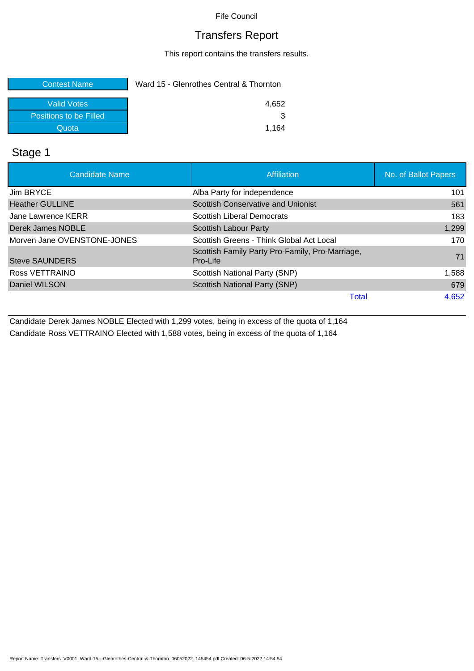### Transfers Report

This report contains the transfers results.

| <b>Contest Name</b>    | Ward 15 - Glenrothes Central & Thornton |  |
|------------------------|-----------------------------------------|--|
| Valid Votes            | 4.652                                   |  |
| Positions to be Filled |                                         |  |
| Quota                  | 1.164                                   |  |

### Stage 1

| <b>Candidate Name</b>       | Affiliation                                                 | No. of Ballot Papers |
|-----------------------------|-------------------------------------------------------------|----------------------|
| Jim BRYCE                   | Alba Party for independence                                 | 101                  |
| <b>Heather GULLINE</b>      | Scottish Conservative and Unionist                          | 561                  |
| Jane Lawrence KERR          | Scottish Liberal Democrats                                  | 183                  |
| Derek James NOBLE           | <b>Scottish Labour Party</b>                                | 1,299                |
| Morven Jane OVENSTONE-JONES | Scottish Greens - Think Global Act Local                    | 170                  |
| <b>Steve SAUNDERS</b>       | Scottish Family Party Pro-Family, Pro-Marriage,<br>Pro-Life | 71                   |
| Ross VETTRAINO              | Scottish National Party (SNP)                               | 1,588                |
| Daniel WILSON               | Scottish National Party (SNP)                               | 679                  |
|                             | <b>Total</b>                                                | 4,652                |

Candidate Derek James NOBLE Elected with 1,299 votes, being in excess of the quota of 1,164 Candidate Ross VETTRAINO Elected with 1,588 votes, being in excess of the quota of 1,164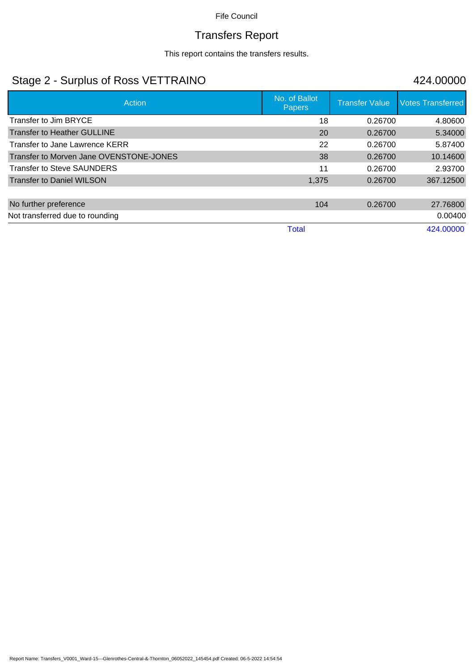# Transfers Report

This report contains the transfers results.

## Stage 2 - Surplus of Ross VETTRAINO 424.00000

| Action                                  | No. of Ballot<br><b>Papers</b> | <b>Transfer Value</b> | <b>Votes Transferred</b> |
|-----------------------------------------|--------------------------------|-----------------------|--------------------------|
| Transfer to Jim BRYCE                   | 18                             | 0.26700               | 4.80600                  |
| Transfer to Heather GULLINE             | 20                             | 0.26700               | 5.34000                  |
| Transfer to Jane Lawrence KERR          | 22                             | 0.26700               | 5.87400                  |
| Transfer to Morven Jane OVENSTONE-JONES | 38                             | 0.26700               | 10.14600                 |
| <b>Transfer to Steve SAUNDERS</b>       | 11                             | 0.26700               | 2.93700                  |
| <b>Transfer to Daniel WILSON</b>        | 1,375                          | 0.26700               | 367.12500                |
|                                         |                                |                       |                          |
| No further preference                   | 104                            | 0.26700               | 27.76800                 |
| Not transferred due to rounding         |                                |                       | 0.00400                  |
|                                         | Total                          |                       | 424,00000                |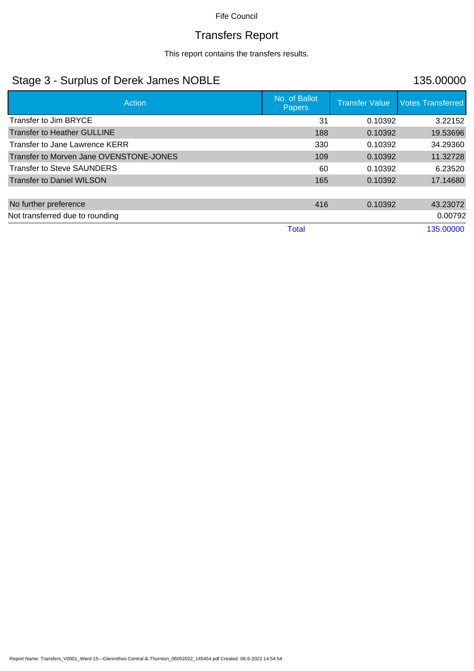# Transfers Report

This report contains the transfers results.

## Stage 3 - Surplus of Derek James NOBLE 135.00000

| <b>Action</b>                           | No. of Ballot<br><b>Papers</b> | <b>Transfer Value</b> | <b>Votes Transferred</b> |
|-----------------------------------------|--------------------------------|-----------------------|--------------------------|
| Transfer to Jim BRYCE                   | 31                             | 0.10392               | 3.22152                  |
| <b>Transfer to Heather GULLINE</b>      | 188                            | 0.10392               | 19.53696                 |
| Transfer to Jane Lawrence KERR          | 330                            | 0.10392               | 34.29360                 |
| Transfer to Morven Jane OVENSTONE-JONES | 109                            | 0.10392               | 11.32728                 |
| <b>Transfer to Steve SAUNDERS</b>       | 60                             | 0.10392               | 6.23520                  |
| <b>Transfer to Daniel WILSON</b>        | 165                            | 0.10392               | 17.14680                 |
|                                         |                                |                       |                          |
| No further preference                   | 416                            | 0.10392               | 43.23072                 |
| Not transferred due to rounding         |                                |                       | 0.00792                  |
|                                         | <b>Total</b>                   |                       | 135.00000                |

Report Name: Transfers\_V0001\_Ward-15---Glenrothes-Central-&-Thornton\_06052022\_145454.pdf Created: 06-5-2022 14:54:54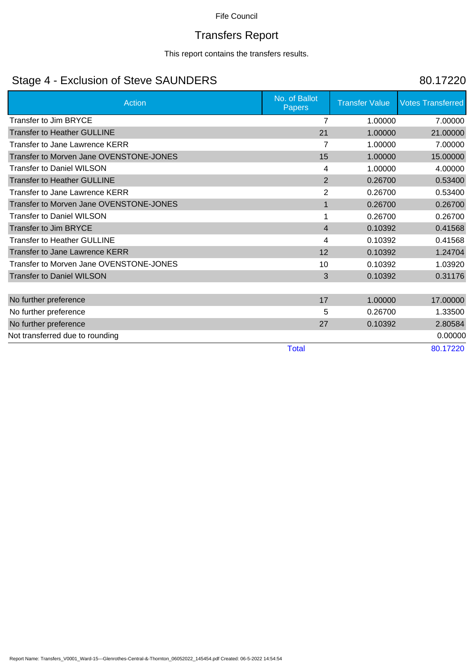# Transfers Report

This report contains the transfers results.

## Stage 4 - Exclusion of Steve SAUNDERS 80.17220

| <b>Action</b>                           | No. of Ballot<br><b>Papers</b> | <b>Transfer Value</b> | <b>Votes Transferred</b> |
|-----------------------------------------|--------------------------------|-----------------------|--------------------------|
| <b>Transfer to Jim BRYCE</b>            | 7                              | 1.00000               | 7.00000                  |
| <b>Transfer to Heather GULLINE</b>      | 21                             | 1.00000               | 21.00000                 |
| Transfer to Jane Lawrence KERR          | 7                              | 1.00000               | 7.00000                  |
| Transfer to Morven Jane OVENSTONE-JONES | 15                             | 1.00000               | 15.00000                 |
| <b>Transfer to Daniel WILSON</b>        | 4                              | 1.00000               | 4.00000                  |
| <b>Transfer to Heather GULLINE</b>      | 2                              | 0.26700               | 0.53400                  |
| Transfer to Jane Lawrence KERR          | 2                              | 0.26700               | 0.53400                  |
| Transfer to Morven Jane OVENSTONE-JONES | $\mathbf{1}$                   | 0.26700               | 0.26700                  |
| Transfer to Daniel WILSON               |                                | 0.26700               | 0.26700                  |
| <b>Transfer to Jim BRYCE</b>            | $\overline{4}$                 | 0.10392               | 0.41568                  |
| <b>Transfer to Heather GULLINE</b>      | 4                              | 0.10392               | 0.41568                  |
| <b>Transfer to Jane Lawrence KERR</b>   | 12                             | 0.10392               | 1.24704                  |
| Transfer to Morven Jane OVENSTONE-JONES | 10                             | 0.10392               | 1.03920                  |
| <b>Transfer to Daniel WILSON</b>        | 3                              | 0.10392               | 0.31176                  |
|                                         |                                |                       |                          |
| No further preference                   | 17                             | 1.00000               | 17.00000                 |
| No further preference                   | 5                              | 0.26700               | 1.33500                  |
| No further preference                   | 27                             | 0.10392               | 2.80584                  |
| Not transferred due to rounding         |                                |                       | 0.00000                  |
|                                         | <b>Total</b>                   |                       | 80.17220                 |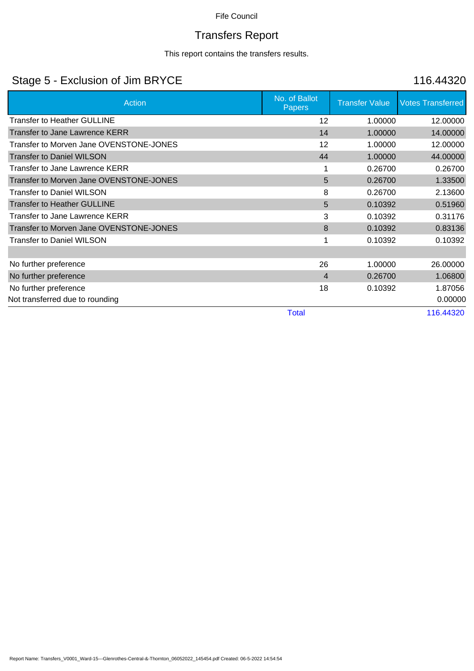# Transfers Report

This report contains the transfers results.

## Stage 5 - Exclusion of Jim BRYCE 116.44320

| Action                                  | No. of Ballot<br><b>Papers</b> | <b>Transfer Value</b> | <b>Votes Transferred</b> |
|-----------------------------------------|--------------------------------|-----------------------|--------------------------|
| Transfer to Heather GULLINE             | 12                             | 1.00000               | 12.00000                 |
| <b>Transfer to Jane Lawrence KERR</b>   | 14                             | 1.00000               | 14.00000                 |
| Transfer to Morven Jane OVENSTONE-JONES | 12                             | 1.00000               | 12.00000                 |
| <b>Transfer to Daniel WILSON</b>        | 44                             | 1.00000               | 44.00000                 |
| Transfer to Jane Lawrence KERR          |                                | 0.26700               | 0.26700                  |
| Transfer to Morven Jane OVENSTONE-JONES | 5                              | 0.26700               | 1.33500                  |
| <b>Transfer to Daniel WILSON</b>        | 8                              | 0.26700               | 2.13600                  |
| <b>Transfer to Heather GULLINE</b>      | 5                              | 0.10392               | 0.51960                  |
| Transfer to Jane Lawrence KERR          | 3                              | 0.10392               | 0.31176                  |
| Transfer to Morven Jane OVENSTONE-JONES | 8                              | 0.10392               | 0.83136                  |
| <b>Transfer to Daniel WILSON</b>        |                                | 0.10392               | 0.10392                  |
|                                         |                                |                       |                          |
| No further preference                   | 26                             | 1.00000               | 26.00000                 |
| No further preference                   | $\overline{4}$                 | 0.26700               | 1.06800                  |
| No further preference                   | 18                             | 0.10392               | 1.87056                  |
| Not transferred due to rounding         |                                |                       | 0.00000                  |
|                                         | <b>Total</b>                   |                       | 116.44320                |